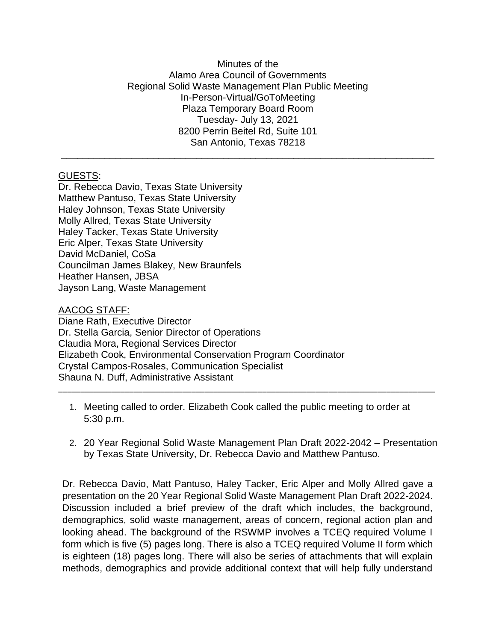## Minutes of the Alamo Area Council of Governments Regional Solid Waste Management Plan Public Meeting In-Person-Virtual/GoToMeeting Plaza Temporary Board Room Tuesday- July 13, 2021 8200 Perrin Beitel Rd, Suite 101 San Antonio, Texas 78218

\_\_\_\_\_\_\_\_\_\_\_\_\_\_\_\_\_\_\_\_\_\_\_\_\_\_\_\_\_\_\_\_\_\_\_\_\_\_\_\_\_\_\_\_\_\_\_\_\_\_\_\_\_\_\_\_\_\_\_\_\_\_\_\_\_\_\_\_\_

## GUESTS:

Dr. Rebecca Davio, Texas State University Matthew Pantuso, Texas State University Haley Johnson, Texas State University Molly Allred, Texas State University Haley Tacker, Texas State University Eric Alper, Texas State University David McDaniel, CoSa Councilman James Blakey, New Braunfels Heather Hansen, JBSA Jayson Lang, Waste Management

AACOG STAFF:

Diane Rath, Executive Director Dr. Stella Garcia, Senior Director of Operations Claudia Mora, Regional Services Director Elizabeth Cook, Environmental Conservation Program Coordinator Crystal Campos-Rosales, Communication Specialist Shauna N. Duff, Administrative Assistant

1. Meeting called to order. Elizabeth Cook called the public meeting to order at 5:30 p.m.

\_\_\_\_\_\_\_\_\_\_\_\_\_\_\_\_\_\_\_\_\_\_\_\_\_\_\_\_\_\_\_\_\_\_\_\_\_\_\_\_\_\_\_\_\_\_\_\_\_\_\_\_\_\_\_\_\_\_\_\_\_\_\_\_\_\_\_\_\_\_\_\_\_\_\_\_\_\_\_\_\_\_\_\_\_

2. 20 Year Regional Solid Waste Management Plan Draft 2022-2042 – Presentation by Texas State University, Dr. Rebecca Davio and Matthew Pantuso.

Dr. Rebecca Davio, Matt Pantuso, Haley Tacker, Eric Alper and Molly Allred gave a presentation on the 20 Year Regional Solid Waste Management Plan Draft 2022-2024. Discussion included a brief preview of the draft which includes, the background, demographics, solid waste management, areas of concern, regional action plan and looking ahead. The background of the RSWMP involves a TCEQ required Volume I form which is five (5) pages long. There is also a TCEQ required Volume II form which is eighteen (18) pages long. There will also be series of attachments that will explain methods, demographics and provide additional context that will help fully understand